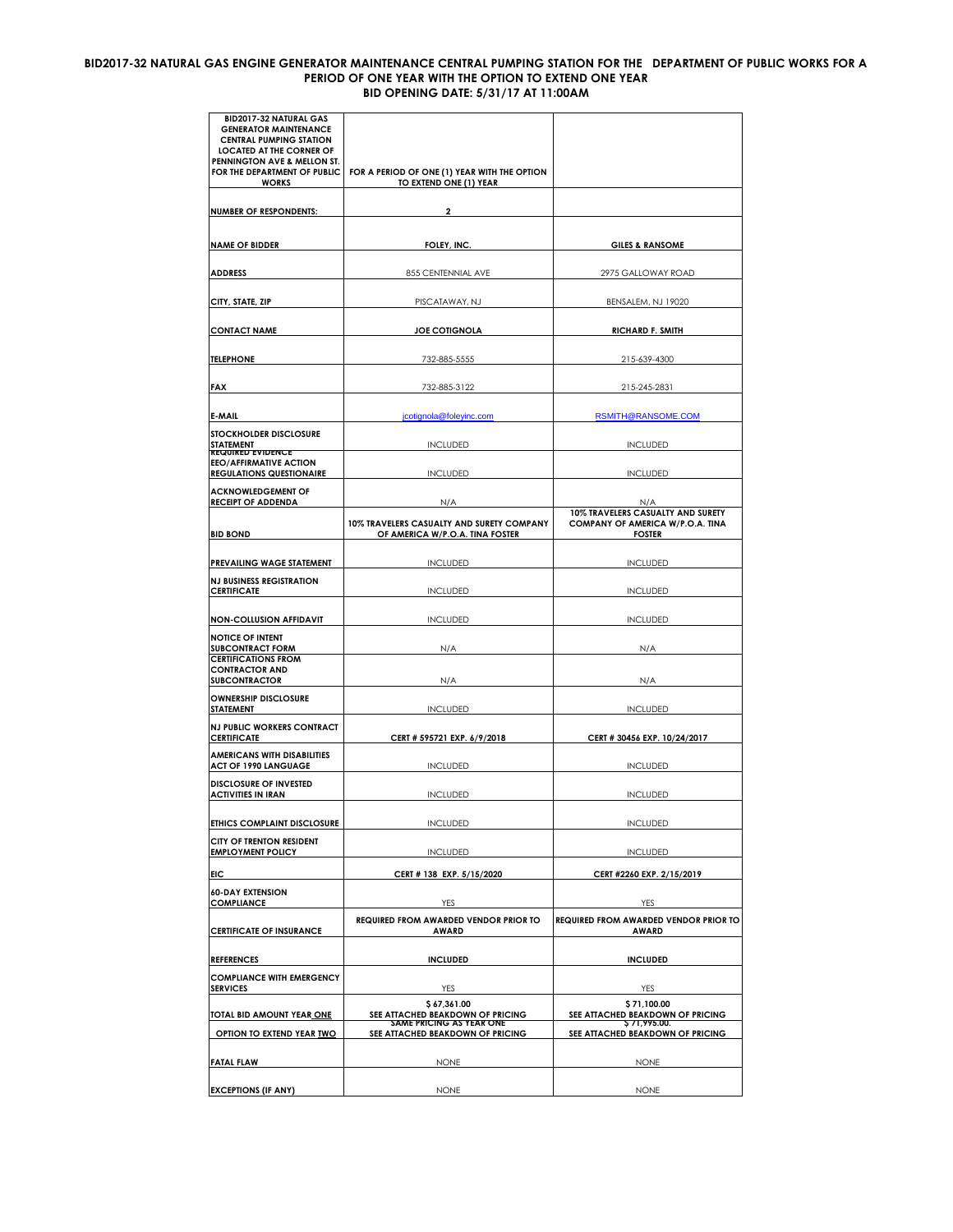## **BID2017-32 NATURAL GAS ENGINE GENERATOR MAINTENANCE CENTRAL PUMPING STATION FOR THE DEPARTMENT OF PUBLIC WORKS FOR A PERIOD OF ONE YEAR WITH THE OPTION TO EXTEND ONE YEAR BID OPENING DATE: 5/31/17 AT 11:00AM**

| BID2017-32 NATURAL GAS<br><b>GENERATOR MAINTENANCE</b><br><b>CENTRAL PUMPING STATION</b><br><b>LOCATED AT THE CORNER OF</b><br>PENNINGTON AVE & MELLON ST.<br>FOR THE DEPARTMENT OF PUBLIC<br><b>WORKS</b> | FOR A PERIOD OF ONE (1) YEAR WITH THE OPTION<br>TO EXTEND ONE (1) YEAR       |                                                                                        |
|------------------------------------------------------------------------------------------------------------------------------------------------------------------------------------------------------------|------------------------------------------------------------------------------|----------------------------------------------------------------------------------------|
| <b>NUMBER OF RESPONDENTS:</b>                                                                                                                                                                              | 2                                                                            |                                                                                        |
| <b>NAME OF BIDDER</b>                                                                                                                                                                                      | FOLEY, INC.                                                                  | <b>GILES &amp; RANSOME</b>                                                             |
| <b>ADDRESS</b>                                                                                                                                                                                             | 855 CENTENNIAL AVE                                                           | 2975 GALLOWAY ROAD                                                                     |
| CITY, STATE, ZIP                                                                                                                                                                                           | PISCATAWAY, NJ                                                               | BENSALEM, NJ 19020                                                                     |
| <b>CONTACT NAME</b>                                                                                                                                                                                        | <b>JOE COTIGNOLA</b>                                                         | <b>RICHARD F. SMITH</b>                                                                |
| <b>TELEPHONE</b>                                                                                                                                                                                           | 732-885-5555                                                                 | 215-639-4300                                                                           |
| FAX                                                                                                                                                                                                        | 732-885-3122                                                                 | 215-245-2831                                                                           |
| E-MAIL                                                                                                                                                                                                     | jcotignola@foleyinc.com                                                      | RSMITH@RANSOME.COM                                                                     |
| <b>STOCKHOLDER DISCLOSURE</b><br>STATEMENT                                                                                                                                                                 | <b>INCLUDED</b>                                                              | <b>INCLUDED</b>                                                                        |
| <b>REQUIRED EVIDENCE</b><br><b>EEO/AFFIRMATIVE ACTION</b><br><b>REGULATIONS QUESTIONAIRE</b>                                                                                                               | <b>INCLUDED</b>                                                              | <b>INCLUDED</b>                                                                        |
| <b>ACKNOWLEDGEMENT OF</b><br><b>RECEIPT OF ADDENDA</b>                                                                                                                                                     | N/A                                                                          | N/A                                                                                    |
| <b>BID BOND</b>                                                                                                                                                                                            | 10% TRAVELERS CASUALTY AND SURETY COMPANY<br>OF AMERICA W/P.O.A. TINA FOSTER | 10% TRAVELERS CASUALTY AND SURETY<br>COMPANY OF AMERICA W/P.O.A. TINA<br><b>FOSTER</b> |
| PREVAILING WAGE STATEMENT                                                                                                                                                                                  | <b>INCLUDED</b>                                                              | <b>INCLUDED</b>                                                                        |
| <b>NJ BUSINESS REGISTRATION</b><br><b>CERTIFICATE</b>                                                                                                                                                      | <b>INCLUDED</b>                                                              | <b>INCLUDED</b>                                                                        |
| <b>NON-COLLUSION AFFIDAVIT</b>                                                                                                                                                                             | <b>INCLUDED</b>                                                              | <b>INCLUDED</b>                                                                        |
| <b>NOTICE OF INTENT</b><br><b>SUBCONTRACT FORM</b>                                                                                                                                                         | N/A                                                                          | N/A                                                                                    |
| <b>CERTIFICATIONS FROM</b><br><b>CONTRACTOR AND</b><br><b>SUBCONTRACTOR</b>                                                                                                                                | N/A                                                                          | N/A                                                                                    |
| <b>OWNERSHIP DISCLOSURE</b><br>STATEMENT                                                                                                                                                                   | <b>INCLUDED</b>                                                              | <b>INCLUDED</b>                                                                        |
| <b>NJ PUBLIC WORKERS CONTRACT</b><br><b>CERTIFICATE</b>                                                                                                                                                    | CERT # 595721 EXP. 6/9/2018                                                  | CERT # 30456 EXP. 10/24/2017                                                           |
| <b>AMERICANS WITH DISABILITIES</b><br><b>ACT OF 1990 LANGUAGE</b>                                                                                                                                          | <b>INCLUDED</b>                                                              | <b>INCLUDED</b>                                                                        |
| <b>DISCLOSURE OF INVESTED</b><br><b>ACTIVITIES IN IRAN</b>                                                                                                                                                 | <b>INCLUDED</b>                                                              | <b>INCLUDED</b>                                                                        |
| ETHICS COMPLAINT DISCLOSURE                                                                                                                                                                                | <b>INCLUDED</b>                                                              | <b>INCLUDED</b>                                                                        |
| CITY OF TRENTON RESIDENT<br><b>EMPLOYMENT POLICY</b>                                                                                                                                                       | <b>INCLUDED</b>                                                              | <b>INCLUDED</b>                                                                        |
| EIC                                                                                                                                                                                                        | CERT # 138 EXP. 5/15/2020                                                    | CERT #2260 EXP. 2/15/2019                                                              |
| <b>60-DAY EXTENSION</b><br><b>COMPLIANCE</b>                                                                                                                                                               | YES                                                                          | YES                                                                                    |
| <b>CERTIFICATE OF INSURANCE</b>                                                                                                                                                                            | REQUIRED FROM AWARDED VENDOR PRIOR TO<br><b>AWARD</b>                        | REQUIRED FROM AWARDED VENDOR PRIOR TO<br><b>AWARD</b>                                  |
| <b>REFERENCES</b>                                                                                                                                                                                          | <b>INCLUDED</b>                                                              | <b>INCLUDED</b>                                                                        |
| <b>COMPLIANCE WITH EMERGENCY</b><br><b>SERVICES</b>                                                                                                                                                        | YES                                                                          | YES                                                                                    |
| TOTAL BID AMOUNT YEAR ONE                                                                                                                                                                                  | \$67,361.00<br>SEE ATTACHED BEAKDOWN OF PRICING                              | \$71,100.00<br>SEE ATTACHED BEAKDOWN OF PRICING                                        |
| OPTION TO EXTEND YEAR TWO                                                                                                                                                                                  | SAME PRICING AS YEAR ONE<br>SEE ATTACHED BEAKDOWN OF PRICING                 | \$71,995.00.<br>SEE ATTACHED BEAKDOWN OF PRICING                                       |
| <b>FATAL FLAW</b>                                                                                                                                                                                          | <b>NONE</b>                                                                  | <b>NONE</b>                                                                            |
| <b>EXCEPTIONS (IF ANY)</b>                                                                                                                                                                                 | <b>NONE</b>                                                                  | <b>NONE</b>                                                                            |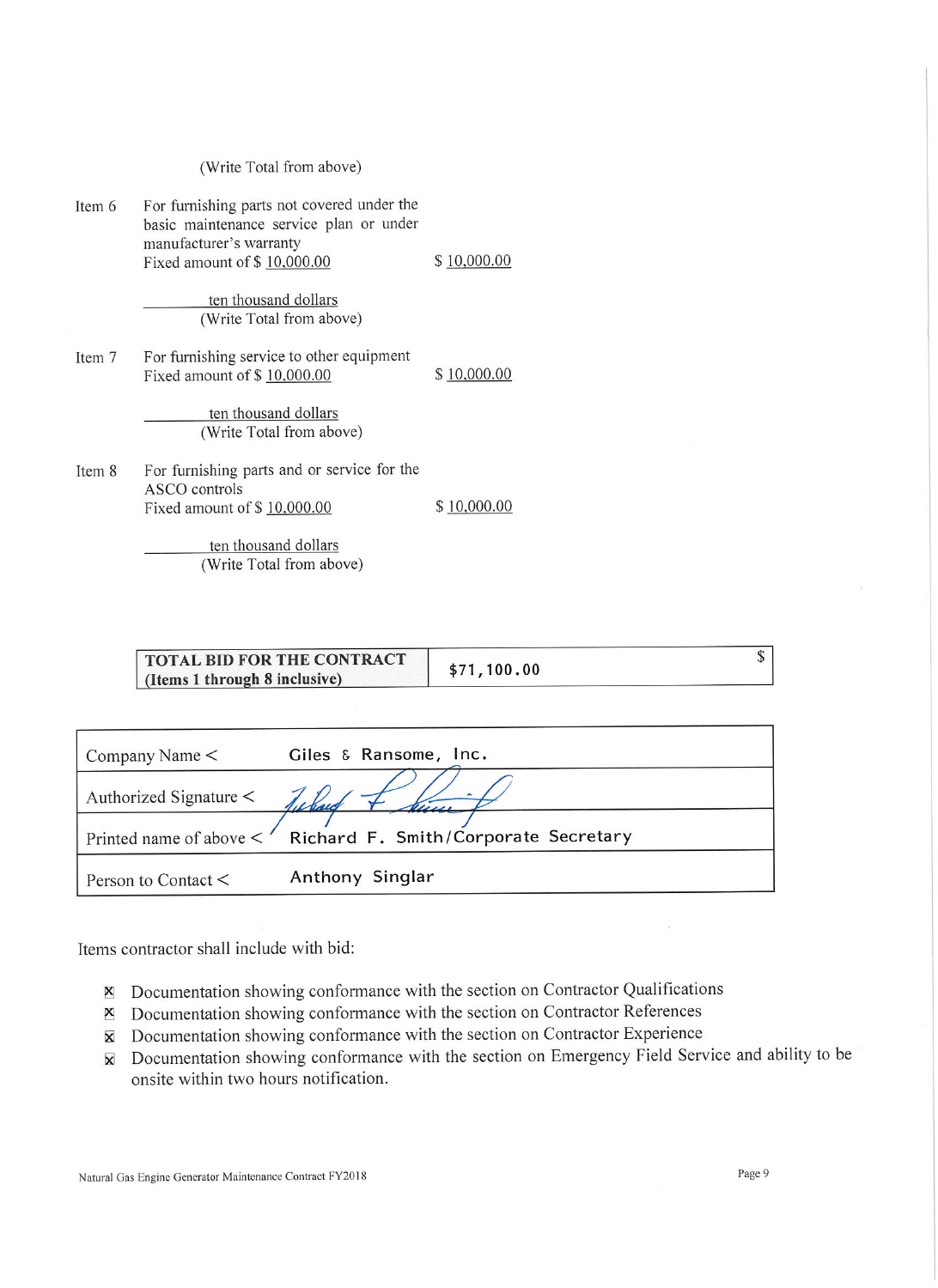|  | (Write Total from above) |
|--|--------------------------|
|  |                          |

| Item 6 | For furnishing parts not covered under the<br>basic maintenance service plan or under<br>manufacturer's warranty<br>Fixed amount of \$10,000.00 | \$10,000.00 |
|--------|-------------------------------------------------------------------------------------------------------------------------------------------------|-------------|
|        | ten thousand dollars<br>(Write Total from above)                                                                                                |             |
| Item 7 | For furnishing service to other equipment<br>Fixed amount of \$10,000.00                                                                        | \$10,000.00 |
|        | ten thousand dollars<br>(Write Total from above)                                                                                                |             |
| Item 8 | For furnishing parts and or service for the<br>ASCO controls<br>Fixed amount of $$10,000.00$                                                    | \$10,000.00 |
|        | ten thousand dollars                                                                                                                            |             |

<u>en thousand dollars</u> (Write Total from above)

| TOTAL BID FOR THE CONTRACT<br>(Items 1 through 8 inclusive) |                       | \$71,100.00 |  |
|-------------------------------------------------------------|-----------------------|-------------|--|
|                                                             |                       |             |  |
| Company Name $\leq$                                         | Giles & Ransome, Inc. |             |  |

| Authorized Signature $\leq$ |                                                                   |
|-----------------------------|-------------------------------------------------------------------|
|                             | Printed name of above $\lt'$ Richard F. Smith/Corporate Secretary |
| Person to Contact $\lt$     | Anthony Singlar                                                   |

Items contractor shall include with bid:

- $\boxtimes$  Documentation showing conformance with the section on Contractor Qualifications
- × Documentation showing conformance with the section on Contractor References
- X Documentation showing conformance with the section on Contractor Experience
- X Documentation showing conformance with the section on Emergency Field Service and ability to be onsite within two hours notification.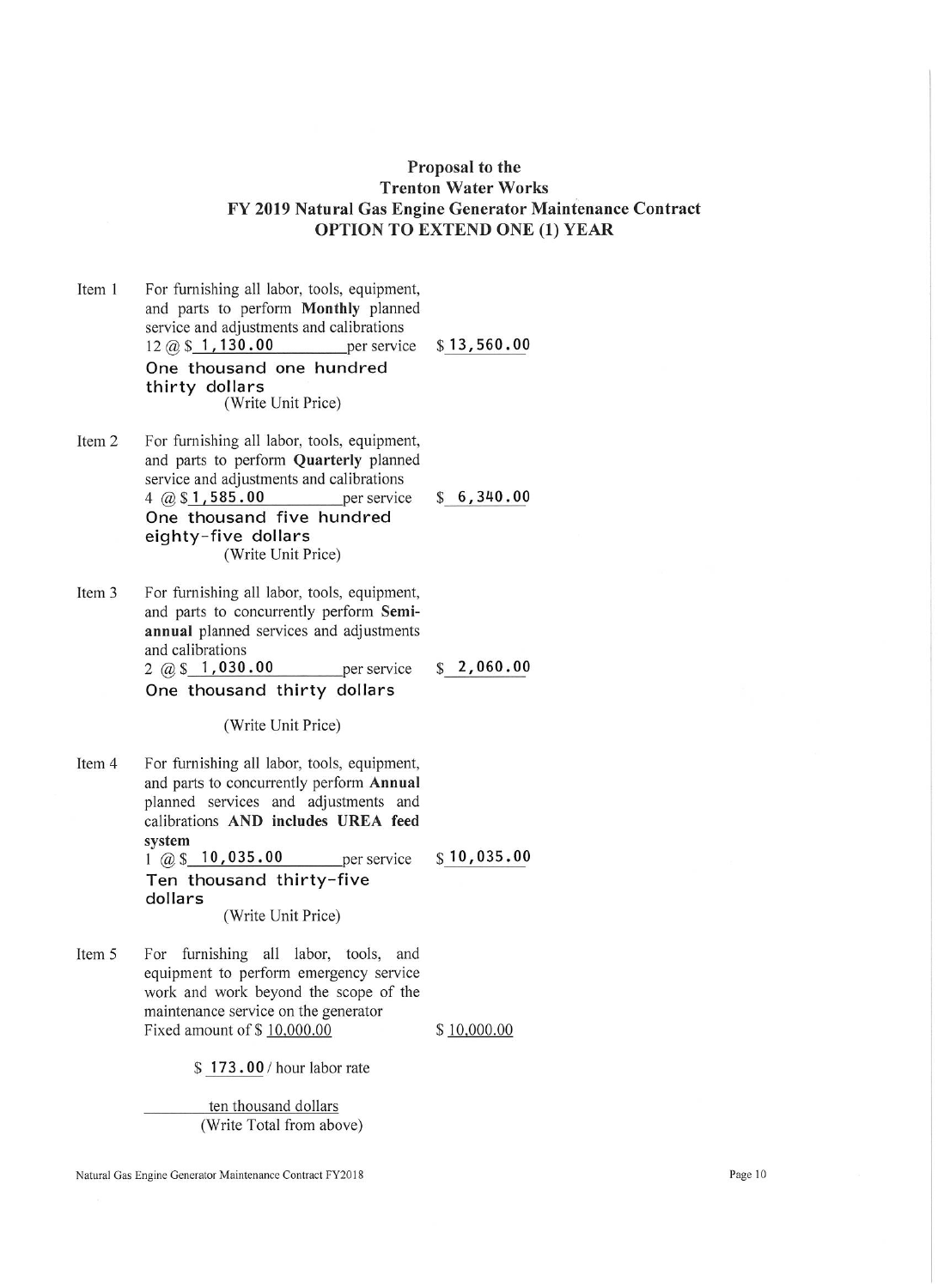## Proposal to the **Trenton Water Works** FY 2019 Natural Gas Engine Generator Maintenance Contract **OPTION TO EXTEND ONE (1) YEAR**

- Item 1 For furnishing all labor, tools, equipment, and parts to perform Monthly planned service and adjustments and calibrations  $12 \text{ } \textcircled{a} \text{ } \text{ } 5 \text{ } 1,130.00$  $$13,560.00$ per service One thousand one hundred thirty dollars (Write Unit Price)
- Item 2 For furnishing all labor, tools, equipment, and parts to perform Quarterly planned service and adjustments and calibrations  $$6,340.00$ 4  $@$1,585.00$ per service One thousand five hundred eighty-five dollars (Write Unit Price)
- Item 3 For furnishing all labor, tools, equipment, and parts to concurrently perform Semiannual planned services and adjustments and calibrations  $2 \times 1,030.00$ per service

 $$2,060.00$ 

One thousand thirty dollars

(Write Unit Price)

- Item 4 For furnishing all labor, tools, equipment, and parts to concurrently perform Annual planned services and adjustments and calibrations AND includes UREA feed system  $1 \omega$ \$ 10,035.00  $$10,035.00$ per service Ten thousand thirty-five dollars (Write Unit Price)
- Item 5 For furnishing all labor, tools, and equipment to perform emergency service work and work beyond the scope of the maintenance service on the generator Fixed amount of \$10,000.00

\$10,000.00

\$173.00/hour labor rate

ten thousand dollars (Write Total from above)

Natural Gas Engine Generator Maintenance Contract FY2018